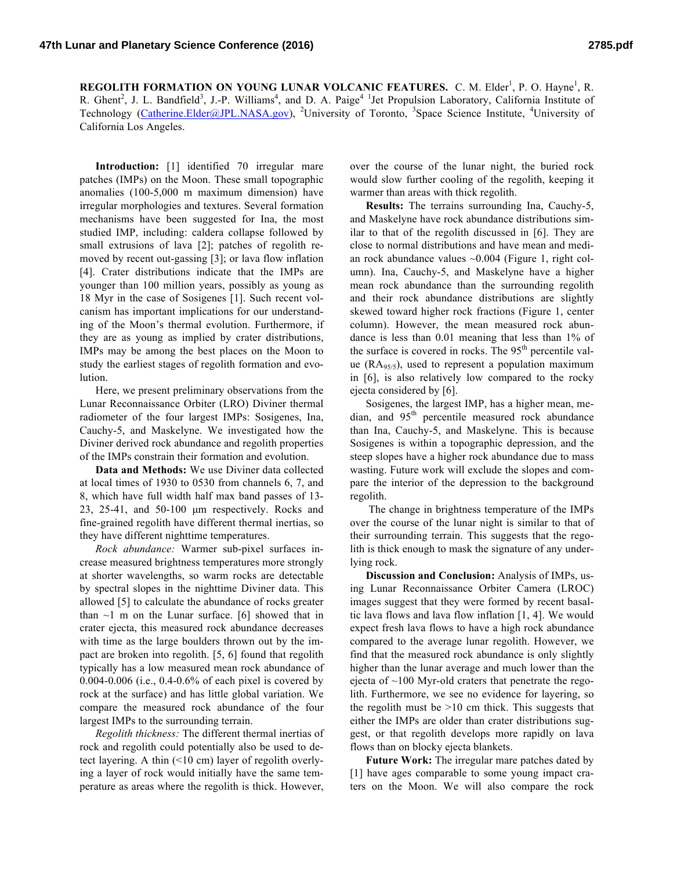**REGOLITH FORMATION ON YOUNG LUNAR VOLCANIC FEATURES.** C. M. Elder<sup>1</sup>, P. O. Hayne<sup>1</sup>, R. R. Ghent<sup>2</sup>, J. L. Bandfield<sup>3</sup>, J.-P. Williams<sup>4</sup>, and D. A. Paige<sup>4 1</sup> Jet Propulsion Laboratory, California Institute of Technology (Catherine.Elder@JPL.NASA.gov), <sup>2</sup>University of Toronto, <sup>3</sup>Space Science Institute, <sup>4</sup>University of California Los Angeles.

**Introduction:** [1] identified 70 irregular mare patches (IMPs) on the Moon. These small topographic anomalies (100-5,000 m maximum dimension) have irregular morphologies and textures. Several formation mechanisms have been suggested for Ina, the most studied IMP, including: caldera collapse followed by small extrusions of lava [2]; patches of regolith removed by recent out-gassing [3]; or lava flow inflation [4]. Crater distributions indicate that the IMPs are younger than 100 million years, possibly as young as 18 Myr in the case of Sosigenes [1]. Such recent volcanism has important implications for our understanding of the Moon's thermal evolution. Furthermore, if they are as young as implied by crater distributions, IMPs may be among the best places on the Moon to study the earliest stages of regolith formation and evolution.

Here, we present preliminary observations from the Lunar Reconnaissance Orbiter (LRO) Diviner thermal radiometer of the four largest IMPs: Sosigenes, Ina, Cauchy-5, and Maskelyne. We investigated how the Diviner derived rock abundance and regolith properties of the IMPs constrain their formation and evolution.

**Data and Methods:** We use Diviner data collected at local times of 1930 to 0530 from channels 6, 7, and 8, which have full width half max band passes of 13- 23, 25-41, and 50-100 µm respectively. Rocks and fine-grained regolith have different thermal inertias, so they have different nighttime temperatures.

*Rock abundance:* Warmer sub-pixel surfaces increase measured brightness temperatures more strongly at shorter wavelengths, so warm rocks are detectable by spectral slopes in the nighttime Diviner data. This allowed [5] to calculate the abundance of rocks greater than  $\sim$ 1 m on the Lunar surface. [6] showed that in crater ejecta, this measured rock abundance decreases with time as the large boulders thrown out by the impact are broken into regolith. [5, 6] found that regolith typically has a low measured mean rock abundance of 0.004-0.006 (i.e., 0.4-0.6% of each pixel is covered by rock at the surface) and has little global variation. We compare the measured rock abundance of the four largest IMPs to the surrounding terrain.

*Regolith thickness:* The different thermal inertias of rock and regolith could potentially also be used to detect layering. A thin (<10 cm) layer of regolith overlying a layer of rock would initially have the same temperature as areas where the regolith is thick. However,

over the course of the lunar night, the buried rock would slow further cooling of the regolith, keeping it warmer than areas with thick regolith.

**Results:** The terrains surrounding Ina, Cauchy-5, and Maskelyne have rock abundance distributions similar to that of the regolith discussed in [6]. They are close to normal distributions and have mean and median rock abundance values ~0.004 (Figure 1, right column). Ina, Cauchy-5, and Maskelyne have a higher mean rock abundance than the surrounding regolith and their rock abundance distributions are slightly skewed toward higher rock fractions (Figure 1, center column). However, the mean measured rock abundance is less than 0.01 meaning that less than 1% of the surface is covered in rocks. The  $95<sup>th</sup>$  percentile value ( $\text{RA}_{95/5}$ ), used to represent a population maximum in [6], is also relatively low compared to the rocky ejecta considered by [6].

Sosigenes, the largest IMP, has a higher mean, median, and  $95<sup>th</sup>$  percentile measured rock abundance than Ina, Cauchy-5, and Maskelyne. This is because Sosigenes is within a topographic depression, and the steep slopes have a higher rock abundance due to mass wasting. Future work will exclude the slopes and compare the interior of the depression to the background regolith.

The change in brightness temperature of the IMPs over the course of the lunar night is similar to that of their surrounding terrain. This suggests that the regolith is thick enough to mask the signature of any underlying rock.

**Discussion and Conclusion:** Analysis of IMPs, using Lunar Reconnaissance Orbiter Camera (LROC) images suggest that they were formed by recent basaltic lava flows and lava flow inflation [1, 4]. We would expect fresh lava flows to have a high rock abundance compared to the average lunar regolith. However, we find that the measured rock abundance is only slightly higher than the lunar average and much lower than the ejecta of  $\sim$ 100 Myr-old craters that penetrate the regolith. Furthermore, we see no evidence for layering, so the regolith must be  $>10$  cm thick. This suggests that either the IMPs are older than crater distributions suggest, or that regolith develops more rapidly on lava flows than on blocky ejecta blankets.

**Future Work:** The irregular mare patches dated by [1] have ages comparable to some young impact craters on the Moon. We will also compare the rock